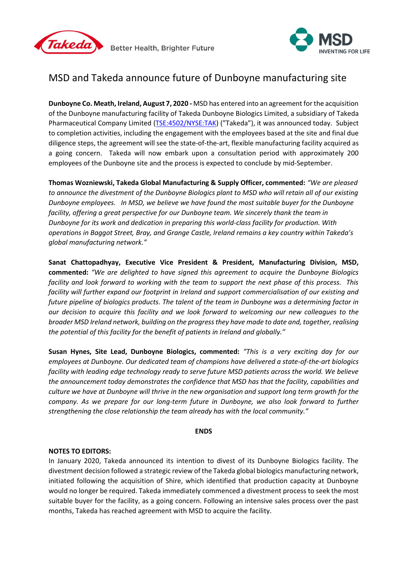



# MSD and Takeda announce future of Dunboyne manufacturing site

**Dunboyne Co. Meath, Ireland, August 7, 2020 -** MSD has entered into an agreement for the acquisition of the Dunboyne manufacturing facility of Takeda Dunboyne Biologics Limited, a subsidiary of Takeda Pharmaceutical Company Limited [\(TSE:4502/NYSE:TAK\)](https://www.takeda.com/investors/) ("Takeda"), it was announced today. Subject to completion activities, including the engagement with the employees based at the site and final due diligence steps, the agreement will see the state-of-the-art, flexible manufacturing facility acquired as a going concern. Takeda will now embark upon a consultation period with approximately 200 employees of the Dunboyne site and the process is expected to conclude by mid-September.

**Thomas Wozniewski, Takeda Global Manufacturing & Supply Officer, commented:** *"We are pleased to announce the divestment of the Dunboyne Biologics plant to MSD who will retain all of our existing Dunboyne employees. In MSD, we believe we have found the most suitable buyer for the Dunboyne facility, offering a great perspective for our Dunboyne team. We sincerely thank the team in Dunboyne for its work and dedication in preparing this world-class facility for production. With operations in Baggot Street, Bray, and Grange Castle, Ireland remains a key country within Takeda's global manufacturing network."*

**Sanat Chattopadhyay, Executive Vice President & President, Manufacturing Division, MSD, commented:** *"We are delighted to have signed this agreement to acquire the Dunboyne Biologics facility and look forward to working with the team to support the next phase of this process. This facility will further expand our footprint in Ireland and support commercialisation of our existing and future pipeline of biologics products. The talent of the team in Dunboyne was a determining factor in our decision to acquire this facility and we look forward to welcoming our new colleagues to the broader MSD Ireland network, building on the progress they have made to date and, together, realising the potential of this facility for the benefit of patients in Ireland and globally."*

**Susan Hynes, Site Lead, Dunboyne Biologics, commented:** *"This is a very exciting day for our employees at Dunboyne. Our dedicated team of champions have delivered a state-of-the-art biologics facility with leading edge technology ready to serve future MSD patients across the world. We believe the announcement today demonstrates the confidence that MSD has that the facility, capabilities and culture we have at Dunboyne will thrive in the new organisation and support long term growth for the company. As we prepare for our long-term future in Dunboyne, we also look forward to further strengthening the close relationship the team already has with the local community."*

# **ENDS**

# **NOTES TO EDITORS:**

In January 2020, Takeda announced its intention to divest of its Dunboyne Biologics facility. The divestment decision followed a strategic review of the Takeda global biologics manufacturing network, initiated following the acquisition of Shire, which identified that production capacity at Dunboyne would no longer be required. Takeda immediately commenced a divestment process to seek the most suitable buyer for the facility, as a going concern. Following an intensive sales process over the past months, Takeda has reached agreement with MSD to acquire the facility.